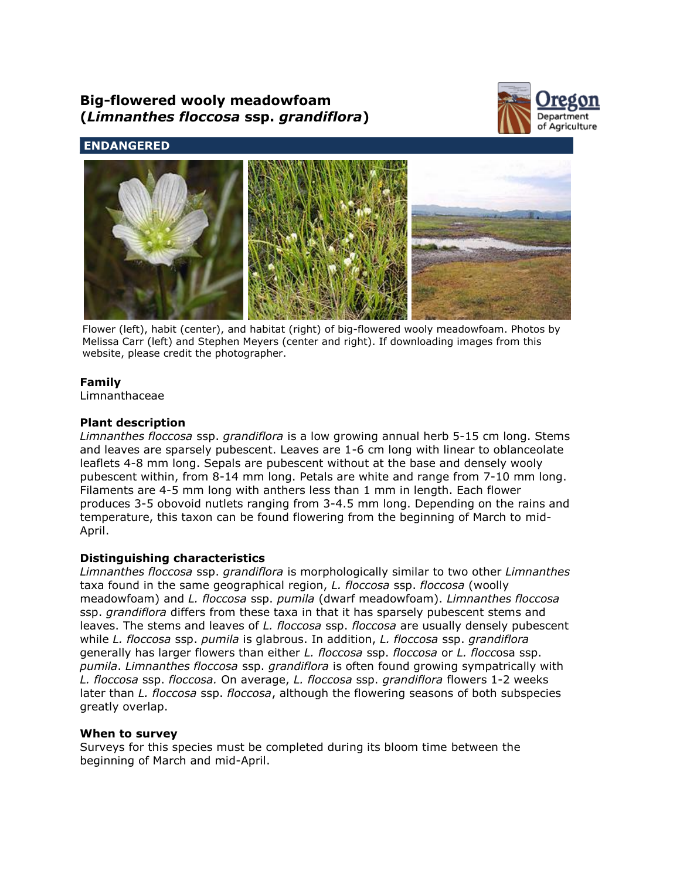# **Big-flowered wooly meadowfoam (***Limnanthes floccosa* **ssp.** *grandiflora***)**



# **ENDANGERED**



Flower (left), habit (center), and habitat (right) of big-flowered wooly meadowfoam. Photos by Melissa Carr (left) and Stephen Meyers (center and right). If downloading images from this website, please credit the photographer.

# **Family**

Limnanthaceae

# **Plant description**

*Limnanthes floccosa* ssp. *grandiflora* is a low growing annual herb 5-15 cm long. Stems and leaves are sparsely pubescent. Leaves are 1-6 cm long with linear to oblanceolate leaflets 4-8 mm long. Sepals are pubescent without at the base and densely wooly pubescent within, from 8-14 mm long. Petals are white and range from 7-10 mm long. Filaments are 4-5 mm long with anthers less than 1 mm in length. Each flower produces 3-5 obovoid nutlets ranging from 3-4.5 mm long. Depending on the rains and temperature, this taxon can be found flowering from the beginning of March to mid-April.

# **Distinguishing characteristics**

*Limnanthes floccosa* ssp. *grandiflora* is morphologically similar to two other *Limnanthes* taxa found in the same geographical region, *L. floccosa* ssp. *floccosa* (woolly meadowfoam) and *L. floccosa* ssp. *pumila* (dwarf meadowfoam). *Limnanthes floccosa* ssp. *grandiflora* differs from these taxa in that it has sparsely pubescent stems and leaves. The stems and leaves of *L. floccosa* ssp. *floccosa* are usually densely pubescent while *L. floccosa* ssp. *pumila* is glabrous. In addition, *L. floccosa* ssp. *grandiflora* generally has larger flowers than either *L. floccosa* ssp. *floccosa* or *L. flocc*osa ssp. *pumila*. *Limnanthes floccosa* ssp. *grandiflora* is often found growing sympatrically with *L. floccosa* ssp. *floccosa.* On average, *L. floccosa* ssp. *grandiflora* flowers 1-2 weeks later than *L. floccosa* ssp. *floccosa*, although the flowering seasons of both subspecies greatly overlap.

# **When to survey**

Surveys for this species must be completed during its bloom time between the beginning of March and mid-April.